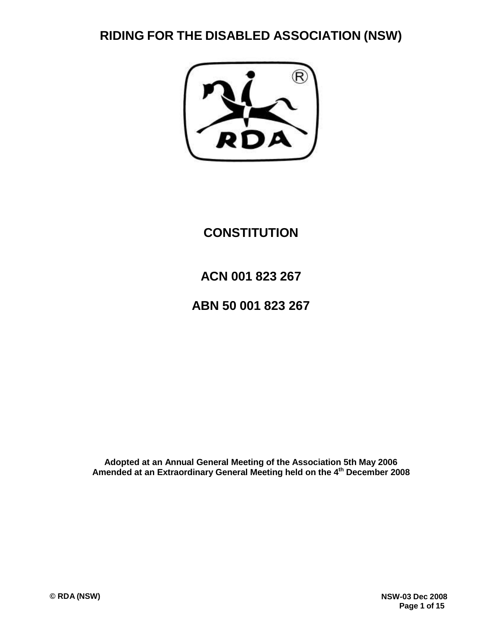**RIDING FOR THE DISABLED ASSOCIATION (NSW)**

# **CONSTITUTION**

# **ACN 001 823 267**

# **ABN 50 001 823 267**

**Adopted at an Annual General Meeting of the Association 5th May 2006 Amended at an Extraordinary General Meeting held on the 4th December 2008**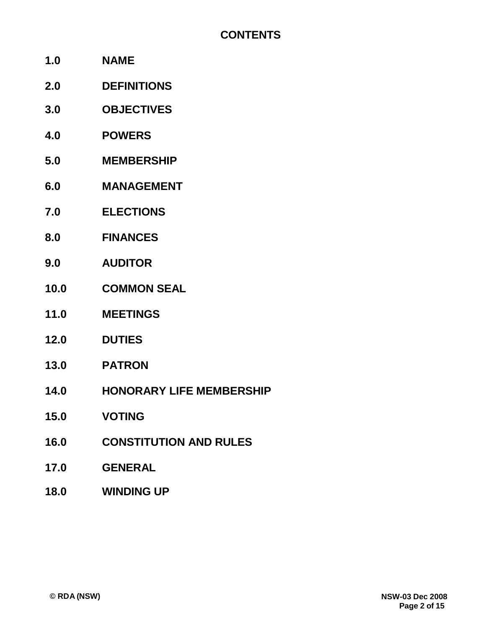- **1.0 NAME**
- **2.0 DEFINITIONS**
- **3.0 OBJECTIVES**
- **4.0 POWERS**
- **5.0 MEMBERSHIP**
- **6.0 MANAGEMENT**
- **7.0 ELECTIONS**
- **8.0 FINANCES**
- **9.0 AUDITOR**
- **10.0 COMMON SEAL**
- **11.0 MEETINGS**
- **12.0 DUTIES**
- **13.0 PATRON**
- **14.0 HONORARY LIFE MEMBERSHIP**
- **15.0 VOTING**
- **16.0 CONSTITUTION AND RULES**
- **17.0 GENERAL**
- **18.0 WINDING UP**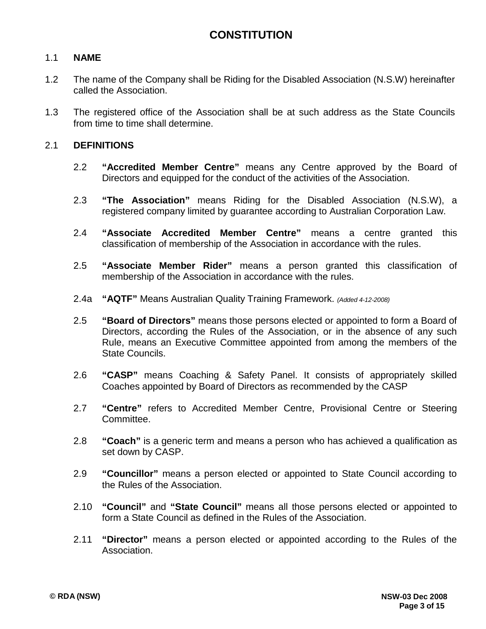# 1.1 **NAME**

- 1.2 The name of the Company shall be Riding for the Disabled Association (N.S.W) hereinafter called the Association.
- 1.3 The registered office of the Association shall be at such address as the State Councils from time to time shall determine.

## 2.1 **DEFINITIONS**

- 2.2 **"Accredited Member Centre"** means any Centre approved by the Board of Directors and equipped for the conduct of the activities of the Association.
- 2.3 **"The Association"** means Riding for the Disabled Association (N.S.W), a registered company limited by guarantee according to Australian Corporation Law.
- 2.4 **"Associate Accredited Member Centre"** means a centre granted this classification of membership of the Association in accordance with the rules.
- 2.5 **"Associate Member Rider"** means a person granted this classification of membership of the Association in accordance with the rules.
- 2.4a **"AQTF"** Means Australian Quality Training Framework. *(Added 4-12-2008)*
- 2.5 **"Board of Directors"** means those persons elected or appointed to form a Board of Directors, according the Rules of the Association, or in the absence of any such Rule, means an Executive Committee appointed from among the members of the State Councils.
- 2.6 **"CASP"** means Coaching & Safety Panel. It consists of appropriately skilled Coaches appointed by Board of Directors as recommended by the CASP
- 2.7 **"Centre"** refers to Accredited Member Centre, Provisional Centre or Steering Committee.
- 2.8 **"Coach"** is a generic term and means a person who has achieved a qualification as set down by CASP.
- 2.9 **"Councillor"** means a person elected or appointed to State Council according to the Rules of the Association.
- 2.10 **"Council"** and **"State Council"** means all those persons elected or appointed to form a State Council as defined in the Rules of the Association.
- 2.11 **"Director"** means a person elected or appointed according to the Rules of the Association.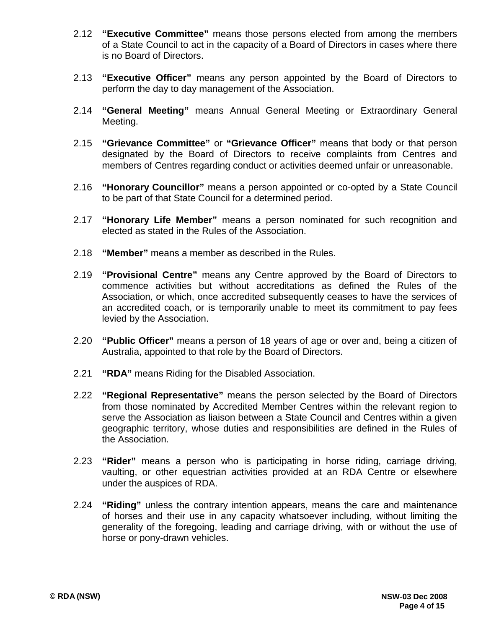- 2.12 **"Executive Committee"** means those persons elected from among the members of a State Council to act in the capacity of a Board of Directors in cases where there is no Board of Directors.
- 2.13 **"Executive Officer"** means any person appointed by the Board of Directors to perform the day to day management of the Association.
- 2.14 **"General Meeting"** means Annual General Meeting or Extraordinary General Meeting.
- 2.15 **"Grievance Committee"** or **"Grievance Officer"** means that body or that person designated by the Board of Directors to receive complaints from Centres and members of Centres regarding conduct or activities deemed unfair or unreasonable.
- 2.16 **"Honorary Councillor"** means a person appointed or co-opted by a State Council to be part of that State Council for a determined period.
- 2.17 **"Honorary Life Member"** means a person nominated for such recognition and elected as stated in the Rules of the Association.
- 2.18 **"Member"** means a member as described in the Rules.
- 2.19 **"Provisional Centre"** means any Centre approved by the Board of Directors to commence activities but without accreditations as defined the Rules of the Association, or which, once accredited subsequently ceases to have the services of an accredited coach, or is temporarily unable to meet its commitment to pay fees levied by the Association.
- 2.20 **"Public Officer"** means a person of 18 years of age or over and, being a citizen of Australia, appointed to that role by the Board of Directors.
- 2.21 **"RDA"** means Riding for the Disabled Association.
- 2.22 **"Regional Representative"** means the person selected by the Board of Directors from those nominated by Accredited Member Centres within the relevant region to serve the Association as liaison between a State Council and Centres within a given geographic territory, whose duties and responsibilities are defined in the Rules of the Association.
- 2.23 **"Rider"** means a person who is participating in horse riding, carriage driving, vaulting, or other equestrian activities provided at an RDA Centre or elsewhere under the auspices of RDA.
- 2.24 **"Riding"** unless the contrary intention appears, means the care and maintenance of horses and their use in any capacity whatsoever including, without limiting the generality of the foregoing, leading and carriage driving, with or without the use of horse or pony-drawn vehicles.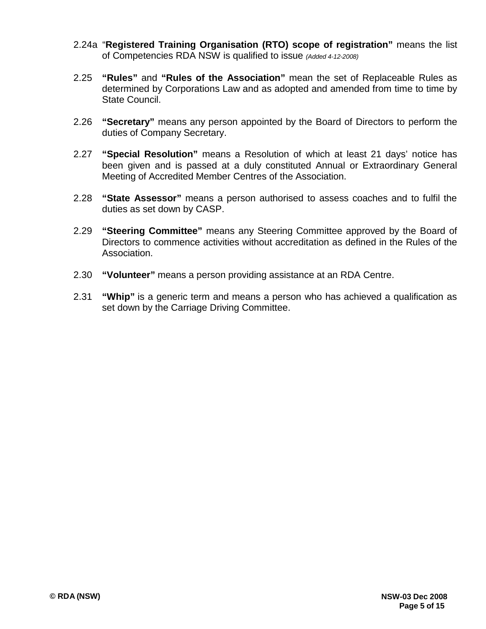- 2.24a "**Registered Training Organisation (RTO) scope of registration"** means the list of Competencies RDA NSW is qualified to issue *(Added 4-12-2008)*
- 2.25 **"Rules"** and **"Rules of the Association"** mean the set of Replaceable Rules as determined by Corporations Law and as adopted and amended from time to time by State Council.
- 2.26 **"Secretary"** means any person appointed by the Board of Directors to perform the duties of Company Secretary.
- 2.27 **"Special Resolution"** means a Resolution of which at least 21 days' notice has been given and is passed at a duly constituted Annual or Extraordinary General Meeting of Accredited Member Centres of the Association.
- 2.28 **"State Assessor"** means a person authorised to assess coaches and to fulfil the duties as set down by CASP.
- 2.29 **"Steering Committee"** means any Steering Committee approved by the Board of Directors to commence activities without accreditation as defined in the Rules of the Association.
- 2.30 **"Volunteer"** means a person providing assistance at an RDA Centre.
- 2.31 **"Whip"** is a generic term and means a person who has achieved a qualification as set down by the Carriage Driving Committee.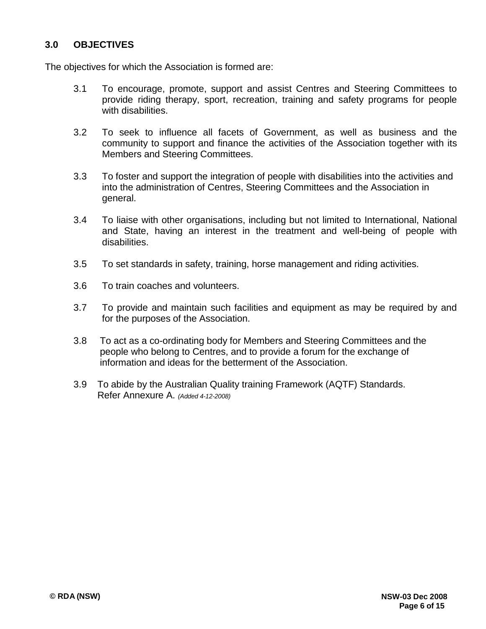# **3.0 OBJECTIVES**

The objectives for which the Association is formed are:

- 3.1 To encourage, promote, support and assist Centres and Steering Committees to provide riding therapy, sport, recreation, training and safety programs for people with disabilities.
- 3.2 To seek to influence all facets of Government, as well as business and the community to support and finance the activities of the Association together with its Members and Steering Committees.
- 3.3 To foster and support the integration of people with disabilities into the activities and into the administration of Centres, Steering Committees and the Association in general.
- 3.4 To liaise with other organisations, including but not limited to International, National and State, having an interest in the treatment and well-being of people with disabilities.
- 3.5 To set standards in safety, training, horse management and riding activities.
- 3.6 To train coaches and volunteers.
- 3.7 To provide and maintain such facilities and equipment as may be required by and for the purposes of the Association.
- 3.8 To act as a co-ordinating body for Members and Steering Committees and the people who belong to Centres, and to provide a forum for the exchange of information and ideas for the betterment of the Association.
- 3.9 To abide by the Australian Quality training Framework (AQTF) Standards. Refer Annexure A. *(Added 4-12-2008)*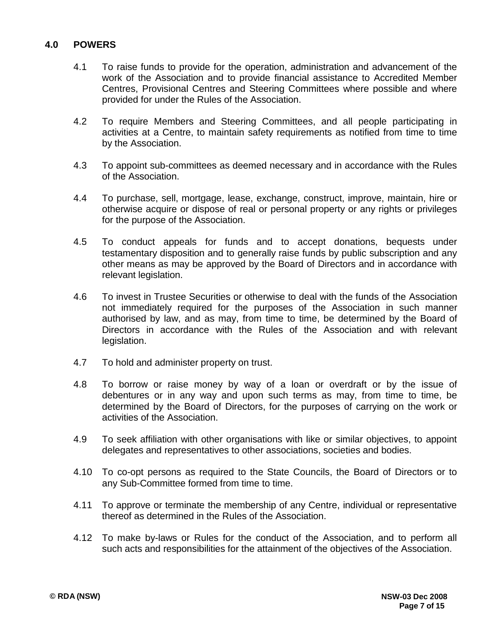# **4.0 POWERS**

- 4.1 To raise funds to provide for the operation, administration and advancement of the work of the Association and to provide financial assistance to Accredited Member Centres, Provisional Centres and Steering Committees where possible and where provided for under the Rules of the Association.
- 4.2 To require Members and Steering Committees, and all people participating in activities at a Centre, to maintain safety requirements as notified from time to time by the Association.
- 4.3 To appoint sub-committees as deemed necessary and in accordance with the Rules of the Association.
- 4.4 To purchase, sell, mortgage, lease, exchange, construct, improve, maintain, hire or otherwise acquire or dispose of real or personal property or any rights or privileges for the purpose of the Association.
- 4.5 To conduct appeals for funds and to accept donations, bequests under testamentary disposition and to generally raise funds by public subscription and any other means as may be approved by the Board of Directors and in accordance with relevant legislation.
- 4.6 To invest in Trustee Securities or otherwise to deal with the funds of the Association not immediately required for the purposes of the Association in such manner authorised by law, and as may, from time to time, be determined by the Board of Directors in accordance with the Rules of the Association and with relevant legislation.
- 4.7 To hold and administer property on trust.
- 4.8 To borrow or raise money by way of a loan or overdraft or by the issue of debentures or in any way and upon such terms as may, from time to time, be determined by the Board of Directors, for the purposes of carrying on the work or activities of the Association.
- 4.9 To seek affiliation with other organisations with like or similar objectives, to appoint delegates and representatives to other associations, societies and bodies.
- 4.10 To co-opt persons as required to the State Councils, the Board of Directors or to any Sub-Committee formed from time to time.
- 4.11 To approve or terminate the membership of any Centre, individual or representative thereof as determined in the Rules of the Association.
- 4.12 To make by-laws or Rules for the conduct of the Association, and to perform all such acts and responsibilities for the attainment of the objectives of the Association.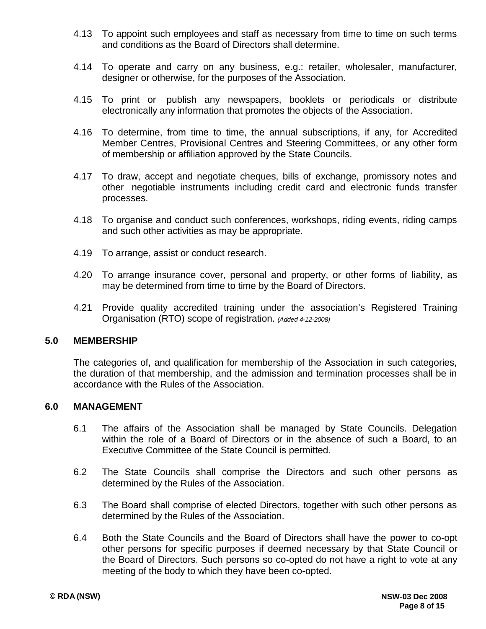- 4.13 To appoint such employees and staff as necessary from time to time on such terms and conditions as the Board of Directors shall determine.
- 4.14 To operate and carry on any business, e.g.: retailer, wholesaler, manufacturer, designer or otherwise, for the purposes of the Association.
- 4.15 To print or publish any newspapers, booklets or periodicals or distribute electronically any information that promotes the objects of the Association.
- 4.16 To determine, from time to time, the annual subscriptions, if any, for Accredited Member Centres, Provisional Centres and Steering Committees, or any other form of membership or affiliation approved by the State Councils.
- 4.17 To draw, accept and negotiate cheques, bills of exchange, promissory notes and other negotiable instruments including credit card and electronic funds transfer processes.
- 4.18 To organise and conduct such conferences, workshops, riding events, riding camps and such other activities as may be appropriate.
- 4.19 To arrange, assist or conduct research.
- 4.20 To arrange insurance cover, personal and property, or other forms of liability, as may be determined from time to time by the Board of Directors.
- 4.21 Provide quality accredited training under the association's Registered Training Organisation (RTO) scope of registration. *(Added 4-12-2008)*

#### **5.0 MEMBERSHIP**

The categories of, and qualification for membership of the Association in such categories, the duration of that membership, and the admission and termination processes shall be in accordance with the Rules of the Association.

### **6.0 MANAGEMENT**

- 6.1 The affairs of the Association shall be managed by State Councils. Delegation within the role of a Board of Directors or in the absence of such a Board, to an Executive Committee of the State Council is permitted.
- 6.2 The State Councils shall comprise the Directors and such other persons as determined by the Rules of the Association.
- 6.3 The Board shall comprise of elected Directors, together with such other persons as determined by the Rules of the Association.
- 6.4 Both the State Councils and the Board of Directors shall have the power to co-opt other persons for specific purposes if deemed necessary by that State Council or the Board of Directors. Such persons so co-opted do not have a right to vote at any meeting of the body to which they have been co-opted.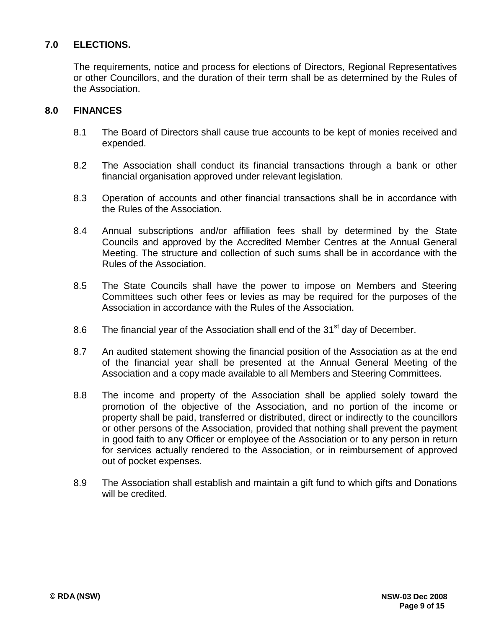# **7.0 ELECTIONS.**

The requirements, notice and process for elections of Directors, Regional Representatives or other Councillors, and the duration of their term shall be as determined by the Rules of the Association.

## **8.0 FINANCES**

- 8.1 The Board of Directors shall cause true accounts to be kept of monies received and expended.
- 8.2 The Association shall conduct its financial transactions through a bank or other financial organisation approved under relevant legislation.
- 8.3 Operation of accounts and other financial transactions shall be in accordance with the Rules of the Association.
- 8.4 Annual subscriptions and/or affiliation fees shall by determined by the State Councils and approved by the Accredited Member Centres at the Annual General Meeting. The structure and collection of such sums shall be in accordance with the Rules of the Association.
- 8.5 The State Councils shall have the power to impose on Members and Steering Committees such other fees or levies as may be required for the purposes of the Association in accordance with the Rules of the Association.
- 8.6 The financial year of the Association shall end of the  $31<sup>st</sup>$  day of December.
- 8.7 An audited statement showing the financial position of the Association as at the end of the financial year shall be presented at the Annual General Meeting of the Association and a copy made available to all Members and Steering Committees.
- 8.8 The income and property of the Association shall be applied solely toward the promotion of the objective of the Association, and no portion of the income or property shall be paid, transferred or distributed, direct or indirectly to the councillors or other persons of the Association, provided that nothing shall prevent the payment in good faith to any Officer or employee of the Association or to any person in return for services actually rendered to the Association, or in reimbursement of approved out of pocket expenses.
- 8.9 The Association shall establish and maintain a gift fund to which gifts and Donations will be credited.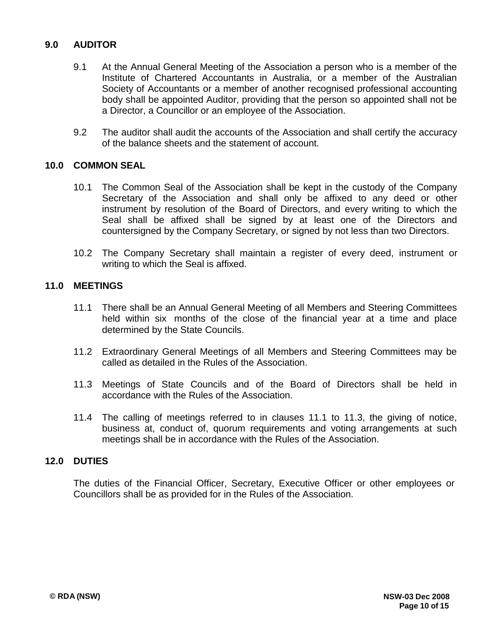# **9.0 AUDITOR**

- 9.1 At the Annual General Meeting of the Association a person who is a member of the Institute of Chartered Accountants in Australia, or a member of the Australian Society of Accountants or a member of another recognised professional accounting body shall be appointed Auditor, providing that the person so appointed shall not be a Director, a Councillor or an employee of the Association.
- 9.2 The auditor shall audit the accounts of the Association and shall certify the accuracy of the balance sheets and the statement of account.

## **10.0 COMMON SEAL**

- 10.1 The Common Seal of the Association shall be kept in the custody of the Company Secretary of the Association and shall only be affixed to any deed or other instrument by resolution of the Board of Directors, and every writing to which the Seal shall be affixed shall be signed by at least one of the Directors and countersigned by the Company Secretary, or signed by not less than two Directors.
- 10.2 The Company Secretary shall maintain a register of every deed, instrument or writing to which the Seal is affixed.

#### **11.0 MEETINGS**

- 11.1 There shall be an Annual General Meeting of all Members and Steering Committees held within six months of the close of the financial year at a time and place determined by the State Councils.
- 11.2 Extraordinary General Meetings of all Members and Steering Committees may be called as detailed in the Rules of the Association.
- 11.3 Meetings of State Councils and of the Board of Directors shall be held in accordance with the Rules of the Association.
- 11.4 The calling of meetings referred to in clauses 11.1 to 11.3, the giving of notice, business at, conduct of, quorum requirements and voting arrangements at such meetings shall be in accordance with the Rules of the Association.

#### **12.0 DUTIES**

The duties of the Financial Officer, Secretary, Executive Officer or other employees or Councillors shall be as provided for in the Rules of the Association.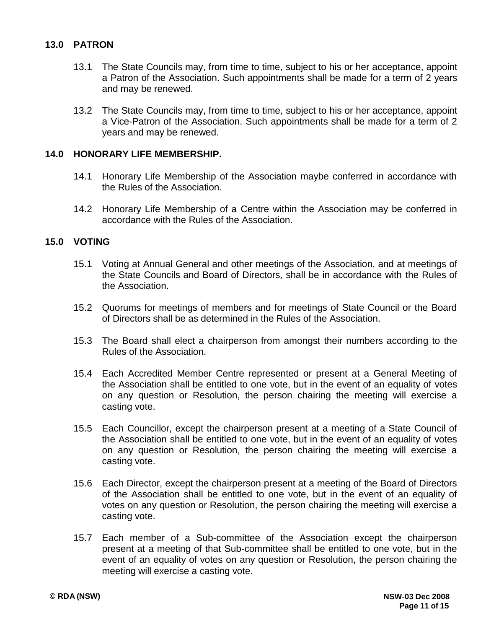## **13.0 PATRON**

- 13.1 The State Councils may, from time to time, subject to his or her acceptance, appoint a Patron of the Association. Such appointments shall be made for a term of 2 years and may be renewed.
- 13.2 The State Councils may, from time to time, subject to his or her acceptance, appoint a Vice-Patron of the Association. Such appointments shall be made for a term of 2 years and may be renewed.

### **14.0 HONORARY LIFE MEMBERSHIP.**

- 14.1 Honorary Life Membership of the Association maybe conferred in accordance with the Rules of the Association.
- 14.2 Honorary Life Membership of a Centre within the Association may be conferred in accordance with the Rules of the Association.

#### **15.0 VOTING**

- 15.1 Voting at Annual General and other meetings of the Association, and at meetings of the State Councils and Board of Directors, shall be in accordance with the Rules of the Association.
- 15.2 Quorums for meetings of members and for meetings of State Council or the Board of Directors shall be as determined in the Rules of the Association.
- 15.3 The Board shall elect a chairperson from amongst their numbers according to the Rules of the Association.
- 15.4 Each Accredited Member Centre represented or present at a General Meeting of the Association shall be entitled to one vote, but in the event of an equality of votes on any question or Resolution, the person chairing the meeting will exercise a casting vote.
- 15.5 Each Councillor, except the chairperson present at a meeting of a State Council of the Association shall be entitled to one vote, but in the event of an equality of votes on any question or Resolution, the person chairing the meeting will exercise a casting vote.
- 15.6 Each Director, except the chairperson present at a meeting of the Board of Directors of the Association shall be entitled to one vote, but in the event of an equality of votes on any question or Resolution, the person chairing the meeting will exercise a casting vote.
- 15.7 Each member of a Sub-committee of the Association except the chairperson present at a meeting of that Sub-committee shall be entitled to one vote, but in the event of an equality of votes on any question or Resolution, the person chairing the meeting will exercise a casting vote.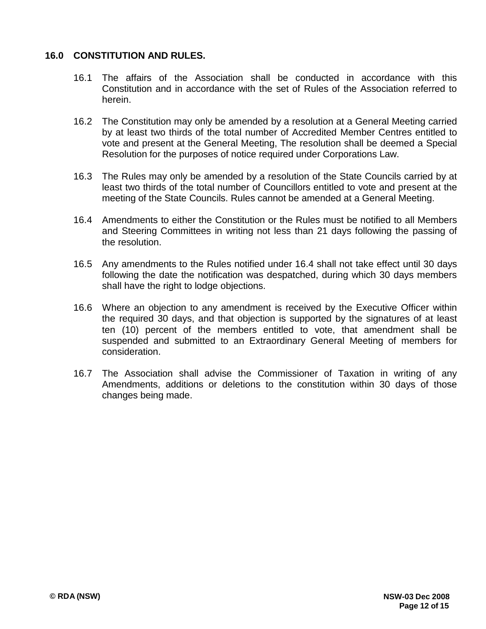# **16.0 CONSTITUTION AND RULES.**

- 16.1 The affairs of the Association shall be conducted in accordance with this Constitution and in accordance with the set of Rules of the Association referred to herein.
- 16.2 The Constitution may only be amended by a resolution at a General Meeting carried by at least two thirds of the total number of Accredited Member Centres entitled to vote and present at the General Meeting, The resolution shall be deemed a Special Resolution for the purposes of notice required under Corporations Law.
- 16.3 The Rules may only be amended by a resolution of the State Councils carried by at least two thirds of the total number of Councillors entitled to vote and present at the meeting of the State Councils. Rules cannot be amended at a General Meeting.
- 16.4 Amendments to either the Constitution or the Rules must be notified to all Members and Steering Committees in writing not less than 21 days following the passing of the resolution.
- 16.5 Any amendments to the Rules notified under 16.4 shall not take effect until 30 days following the date the notification was despatched, during which 30 days members shall have the right to lodge objections.
- 16.6 Where an objection to any amendment is received by the Executive Officer within the required 30 days, and that objection is supported by the signatures of at least ten (10) percent of the members entitled to vote, that amendment shall be suspended and submitted to an Extraordinary General Meeting of members for consideration.
- 16.7 The Association shall advise the Commissioner of Taxation in writing of any Amendments, additions or deletions to the constitution within 30 days of those changes being made.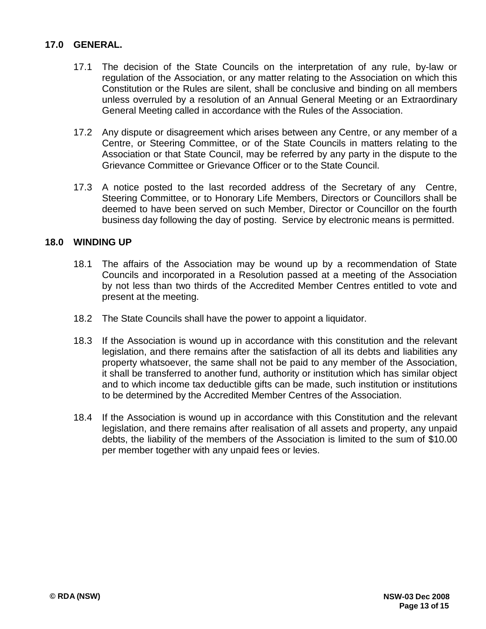## **17.0 GENERAL.**

- 17.1 The decision of the State Councils on the interpretation of any rule, by-law or regulation of the Association, or any matter relating to the Association on which this Constitution or the Rules are silent, shall be conclusive and binding on all members unless overruled by a resolution of an Annual General Meeting or an Extraordinary General Meeting called in accordance with the Rules of the Association.
- 17.2 Any dispute or disagreement which arises between any Centre, or any member of a Centre, or Steering Committee, or of the State Councils in matters relating to the Association or that State Council, may be referred by any party in the dispute to the Grievance Committee or Grievance Officer or to the State Council.
- 17.3 A notice posted to the last recorded address of the Secretary of any Centre, Steering Committee, or to Honorary Life Members, Directors or Councillors shall be deemed to have been served on such Member, Director or Councillor on the fourth business day following the day of posting. Service by electronic means is permitted.

### **18.0 WINDING UP**

- 18.1 The affairs of the Association may be wound up by a recommendation of State Councils and incorporated in a Resolution passed at a meeting of the Association by not less than two thirds of the Accredited Member Centres entitled to vote and present at the meeting.
- 18.2 The State Councils shall have the power to appoint a liquidator.
- 18.3 If the Association is wound up in accordance with this constitution and the relevant legislation, and there remains after the satisfaction of all its debts and liabilities any property whatsoever, the same shall not be paid to any member of the Association, it shall be transferred to another fund, authority or institution which has similar object and to which income tax deductible gifts can be made, such institution or institutions to be determined by the Accredited Member Centres of the Association.
- 18.4 If the Association is wound up in accordance with this Constitution and the relevant legislation, and there remains after realisation of all assets and property, any unpaid debts, the liability of the members of the Association is limited to the sum of \$10.00 per member together with any unpaid fees or levies.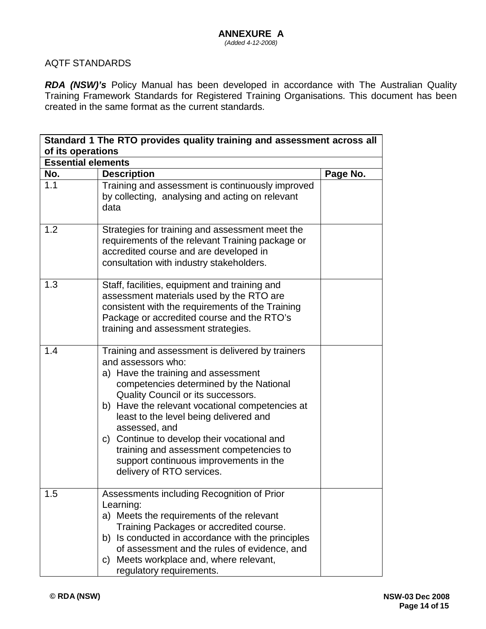# AQTF STANDARDS

*RDA (NSW)'s* Policy Manual has been developed in accordance with The Australian Quality Training Framework Standards for Registered Training Organisations. This document has been created in the same format as the current standards.

| Standard 1 The RTO provides quality training and assessment across all<br>of its operations |                                                                                                                                                                                                                                                                                                                                                                                                                                                                               |          |  |  |  |
|---------------------------------------------------------------------------------------------|-------------------------------------------------------------------------------------------------------------------------------------------------------------------------------------------------------------------------------------------------------------------------------------------------------------------------------------------------------------------------------------------------------------------------------------------------------------------------------|----------|--|--|--|
|                                                                                             |                                                                                                                                                                                                                                                                                                                                                                                                                                                                               |          |  |  |  |
| No.                                                                                         | <b>Description</b>                                                                                                                                                                                                                                                                                                                                                                                                                                                            | Page No. |  |  |  |
| 1.1                                                                                         | Training and assessment is continuously improved<br>by collecting, analysing and acting on relevant<br>data                                                                                                                                                                                                                                                                                                                                                                   |          |  |  |  |
| 1.2                                                                                         | Strategies for training and assessment meet the<br>requirements of the relevant Training package or<br>accredited course and are developed in<br>consultation with industry stakeholders.                                                                                                                                                                                                                                                                                     |          |  |  |  |
| 1.3                                                                                         | Staff, facilities, equipment and training and<br>assessment materials used by the RTO are<br>consistent with the requirements of the Training<br>Package or accredited course and the RTO's<br>training and assessment strategies.                                                                                                                                                                                                                                            |          |  |  |  |
| 1.4                                                                                         | Training and assessment is delivered by trainers<br>and assessors who:<br>a) Have the training and assessment<br>competencies determined by the National<br>Quality Council or its successors.<br>b) Have the relevant vocational competencies at<br>least to the level being delivered and<br>assessed, and<br>c) Continue to develop their vocational and<br>training and assessment competencies to<br>support continuous improvements in the<br>delivery of RTO services. |          |  |  |  |
| 1.5                                                                                         | Assessments including Recognition of Prior<br>Learning:<br>a) Meets the requirements of the relevant<br>Training Packages or accredited course.<br>b) Is conducted in accordance with the principles<br>of assessment and the rules of evidence, and<br>Meets workplace and, where relevant,<br>C)<br>regulatory requirements.                                                                                                                                                |          |  |  |  |